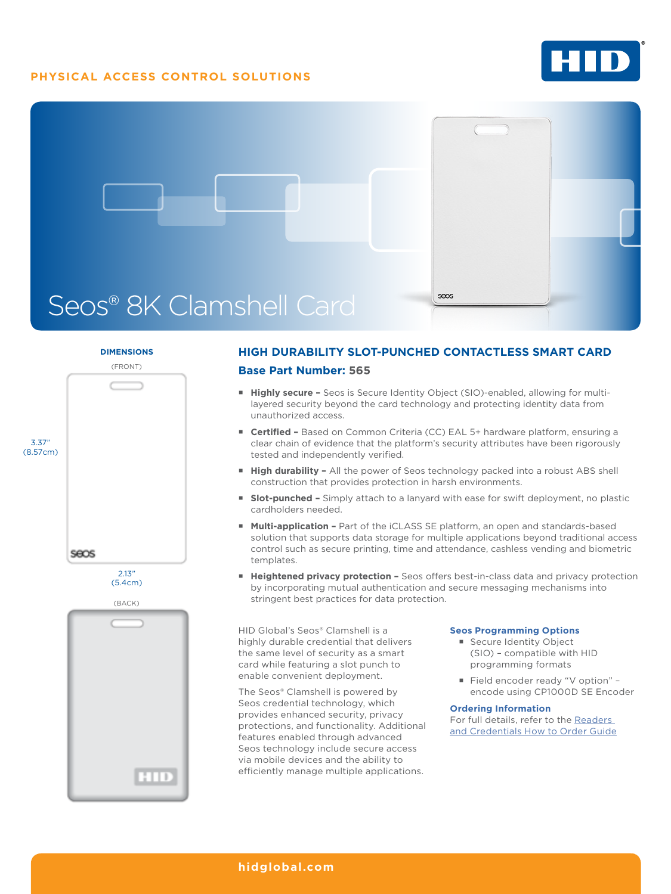## **PHYSICAL ACCESS CONTROL SOLUTIONS**





### **DIMENSIONS**



## **HIGH DURABILITY SLOT-PUNCHED CONTACTLESS SMART CARD Base Part Number: 565**

- **Highly secure -** Seos is Secure Identity Object (SIO)-enabled, allowing for multilayered security beyond the card technology and protecting identity data from unauthorized access.
- **Certified** Based on Common Criteria (CC) EAL 5+ hardware platform, ensuring a clear chain of evidence that the platform's security attributes have been rigorously tested and independently verified.
- **High durability -** All the power of Seos technology packed into a robust ABS shell construction that provides protection in harsh environments.
- **Slot-punched -** Simply attach to a lanyard with ease for swift deployment, no plastic cardholders needed.
- **Multi-application Part of the iCLASS SE platform, an open and standards-based** solution that supports data storage for multiple applications beyond traditional access control such as secure printing, time and attendance, cashless vending and biometric templates.
- **Heightened privacy protection -** Seos offers best-in-class data and privacy protection by incorporating mutual authentication and secure messaging mechanisms into stringent best practices for data protection.

HID Global's Seos® Clamshell is a highly durable credential that delivers the same level of security as a smart card while featuring a slot punch to enable convenient deployment.

The Seos® Clamshell is powered by Seos credential technology, which provides enhanced security, privacy protections, and functionality. Additional features enabled through advanced Seos technology include secure access via mobile devices and the ability to efficiently manage multiple applications.

#### **Seos Programming Options**

- **Secure Identity Object** (SIO) – compatible with HID programming formats
- Field encoder ready "V option" encode using CP1000D SE Encoder

#### **Ordering Information**

For full details, refer to the [Readers](https://www.hidglobal.com/doclib/files/resource_files/plt-02630_b.8_-_readers_and_credentials_htog.pdf)  [and Credentials How to Order Guide](https://www.hidglobal.com/doclib/files/resource_files/plt-02630_b.8_-_readers_and_credentials_htog.pdf)

### **[hidglobal.com](http://www.hidglobal.com)**